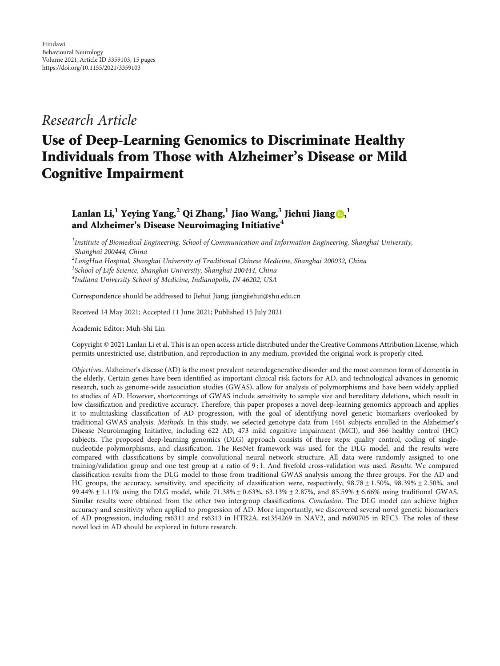## Research Article

# Use of Deep-Learning Genomics to Discriminate Healthy Individuals from Those with Alzheimer's Disease or Mild Cognitive Impairment

### Lanlan Li,<sup>1</sup> Yeying Yang,<sup>2</sup> Qi Zhang,<sup>1</sup> Jiao Wang,<sup>3</sup> Jiehui Jiang <mark>(),</mark> <sup>1</sup> and Alzheimer's Disease Neuroimaging Initiative**<sup>4</sup>**

<sup>1</sup>Institute of Biomedical Engineering, School of Communication and Information Engineering, Shanghai University, Shanghai 200444, China

 $^2$ LongHua Hospital, Shanghai University of Traditional Chinese Medicine, Shanghai 200032, China <sup>3</sup>School of Life Science, Shanghai University, Shanghai 200444, China 4 Indiana University School of Medicine, Indianapolis, IN 46202, USA

Correspondence should be addressed to Jiehui Jiang; jiangjiehui@shu.edu.cn

Received 14 May 2021; Accepted 11 June 2021; Published 15 July 2021

Academic Editor: Muh-Shi Lin

Copyright © 2021 Lanlan Li et al. This is an open access article distributed under the [Creative Commons Attribution License](https://creativecommons.org/licenses/by/4.0/), which permits unrestricted use, distribution, and reproduction in any medium, provided the original work is properly cited.

Objectives. Alzheimer's disease (AD) is the most prevalent neurodegenerative disorder and the most common form of dementia in the elderly. Certain genes have been identified as important clinical risk factors for AD, and technological advances in genomic research, such as genome-wide association studies (GWAS), allow for analysis of polymorphisms and have been widely applied to studies of AD. However, shortcomings of GWAS include sensitivity to sample size and hereditary deletions, which result in low classification and predictive accuracy. Therefore, this paper proposes a novel deep-learning genomics approach and applies it to multitasking classification of AD progression, with the goal of identifying novel genetic biomarkers overlooked by traditional GWAS analysis. Methods. In this study, we selected genotype data from 1461 subjects enrolled in the Alzheimer's Disease Neuroimaging Initiative, including 622 AD, 473 mild cognitive impairment (MCI), and 366 healthy control (HC) subjects. The proposed deep-learning genomics (DLG) approach consists of three steps: quality control, coding of singlenucleotide polymorphisms, and classification. The ResNet framework was used for the DLG model, and the results were compared with classifications by simple convolutional neural network structure. All data were randomly assigned to one training/validation group and one test group at a ratio of 9:1. And fivefold cross-validation was used. Results. We compared classification results from the DLG model to those from traditional GWAS analysis among the three groups. For the AD and HC groups, the accuracy, sensitivity, and specificity of classification were, respectively, 98*:*78 ± 1*:*50*%*, 98*:*39*%* ± 2*:*50*%*, and  $99.44\% \pm 1.11\%$  using the DLG model, while  $71.38\% \pm 0.63\%$ ,  $63.13\% \pm 2.87\%$ , and  $85.59\% \pm 6.66\%$  using traditional GWAS. Similar results were obtained from the other two intergroup classifications. Conclusion. The DLG model can achieve higher accuracy and sensitivity when applied to progression of AD. More importantly, we discovered several novel genetic biomarkers of AD progression, including rs6311 and rs6313 in HTR2A, rs1354269 in NAV2, and rs690705 in RFC3. The roles of these novel loci in AD should be explored in future research.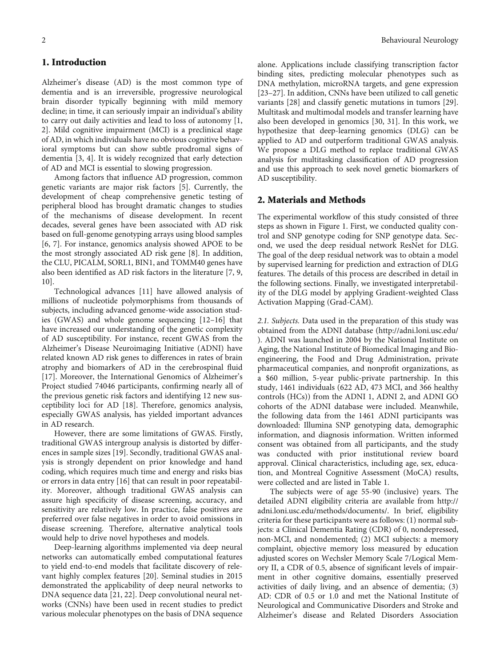#### 1. Introduction

Alzheimer's disease (AD) is the most common type of dementia and is an irreversible, progressive neurological brain disorder typically beginning with mild memory decline; in time, it can seriously impair an individual's ability to carry out daily activities and lead to loss of autonomy [[1,](#page-12-0) [2\]](#page-12-0). Mild cognitive impairment (MCI) is a preclinical stage of AD, in which individuals have no obvious cognitive behavioral symptoms but can show subtle prodromal signs of dementia [[3, 4\]](#page-12-0). It is widely recognized that early detection of AD and MCI is essential to slowing progression.

Among factors that influence AD progression, common genetic variants are major risk factors [[5\]](#page-12-0). Currently, the development of cheap comprehensive genetic testing of peripheral blood has brought dramatic changes to studies of the mechanisms of disease development. In recent decades, several genes have been associated with AD risk based on full-genome genotyping arrays using blood samples [\[6](#page-12-0), [7](#page-12-0)]. For instance, genomics analysis showed APOE to be the most strongly associated AD risk gene [\[8](#page-12-0)]. In addition, the CLU, PICALM, SORL1, BIN1, and TOMM40 genes have also been identified as AD risk factors in the literature [\[7](#page-12-0), [9,](#page-12-0) [10\]](#page-12-0).

Technological advances [\[11\]](#page-12-0) have allowed analysis of millions of nucleotide polymorphisms from thousands of subjects, including advanced genome-wide association studies (GWAS) and whole genome sequencing [[12](#page-12-0)–[16](#page-13-0)] that have increased our understanding of the genetic complexity of AD susceptibility. For instance, recent GWAS from the Alzheimer's Disease Neuroimaging Initiative (ADNI) have related known AD risk genes to differences in rates of brain atrophy and biomarkers of AD in the cerebrospinal fluid [\[17\]](#page-13-0). Moreover, the International Genomics of Alzheimer's Project studied 74046 participants, confirming nearly all of the previous genetic risk factors and identifying 12 new susceptibility loci for AD [\[18\]](#page-13-0). Therefore, genomics analysis, especially GWAS analysis, has yielded important advances in AD research.

However, there are some limitations of GWAS. Firstly, traditional GWAS intergroup analysis is distorted by differences in sample sizes [\[19\]](#page-13-0). Secondly, traditional GWAS analysis is strongly dependent on prior knowledge and hand coding, which requires much time and energy and risks bias or errors in data entry [[16\]](#page-13-0) that can result in poor repeatability. Moreover, although traditional GWAS analysis can assure high specificity of disease screening, accuracy, and sensitivity are relatively low. In practice, false positives are preferred over false negatives in order to avoid omissions in disease screening. Therefore, alternative analytical tools would help to drive novel hypotheses and models.

Deep-learning algorithms implemented via deep neural networks can automatically embed computational features to yield end-to-end models that facilitate discovery of relevant highly complex features [[20\]](#page-13-0). Seminal studies in 2015 demonstrated the applicability of deep neural networks to DNA sequence data [\[21, 22\]](#page-13-0). Deep convolutional neural networks (CNNs) have been used in recent studies to predict various molecular phenotypes on the basis of DNA sequence alone. Applications include classifying transcription factor binding sites, predicting molecular phenotypes such as DNA methylation, microRNA targets, and gene expression [\[23](#page-13-0)–[27\]](#page-13-0). In addition, CNNs have been utilized to call genetic variants [\[28\]](#page-13-0) and classify genetic mutations in tumors [[29](#page-13-0)]. Multitask and multimodal models and transfer learning have also been developed in genomics [\[30](#page-13-0), [31](#page-13-0)]. In this work, we hypothesize that deep-learning genomics (DLG) can be applied to AD and outperform traditional GWAS analysis. We propose a DLG method to replace traditional GWAS analysis for multitasking classification of AD progression and use this approach to seek novel genetic biomarkers of AD susceptibility.

#### 2. Materials and Methods

The experimental workflow of this study consisted of three steps as shown in Figure [1](#page-2-0). First, we conducted quality control and SNP genotype coding for SNP genotype data. Second, we used the deep residual network ResNet for DLG. The goal of the deep residual network was to obtain a model by supervised learning for prediction and extraction of DLG features. The details of this process are described in detail in the following sections. Finally, we investigated interpretability of the DLG model by applying Gradient-weighted Class Activation Mapping (Grad-CAM).

2.1. Subjects. Data used in the preparation of this study was obtained from the ADNI database [\(http://adni.loni.usc.edu/](http://adni.loni.usc.edu/) ). ADNI was launched in 2004 by the National Institute on Aging, the National Institute of Biomedical Imaging and Bioengineering, the Food and Drug Administration, private pharmaceutical companies, and nonprofit organizations, as a \$60 million, 5-year public-private partnership. In this study, 1461 individuals (622 AD, 473 MCI, and 366 healthy controls (HCs)) from the ADNI 1, ADNI 2, and ADNI GO cohorts of the ADNI database were included. Meanwhile, the following data from the 1461 ADNI participants was downloaded: Illumina SNP genotyping data, demographic information, and diagnosis information. Written informed consent was obtained from all participants, and the study was conducted with prior institutional review board approval. Clinical characteristics, including age, sex, education, and Montreal Cognitive Assessment (MoCA) results, were collected and are listed in Table [1](#page-2-0).

The subjects were of age 55-90 (inclusive) years. The detailed ADNI eligibility criteria are available from [http://](http://adni.loni.usc.edu/methods/documents/) [adni.loni.usc.edu/methods/documents/.](http://adni.loni.usc.edu/methods/documents/) In brief, eligibility criteria for these participants were as follows: (1) normal subjects: a Clinical Dementia Rating (CDR) of 0, nondepressed, non-MCI, and nondemented; (2) MCI subjects: a memory complaint, objective memory loss measured by education adjusted scores on Wechsler Memory Scale 7/Logical Memory II, a CDR of 0.5, absence of significant levels of impairment in other cognitive domains, essentially preserved activities of daily living, and an absence of dementia; (3) AD: CDR of 0.5 or 1.0 and met the National Institute of Neurological and Communicative Disorders and Stroke and Alzheimer's disease and Related Disorders Association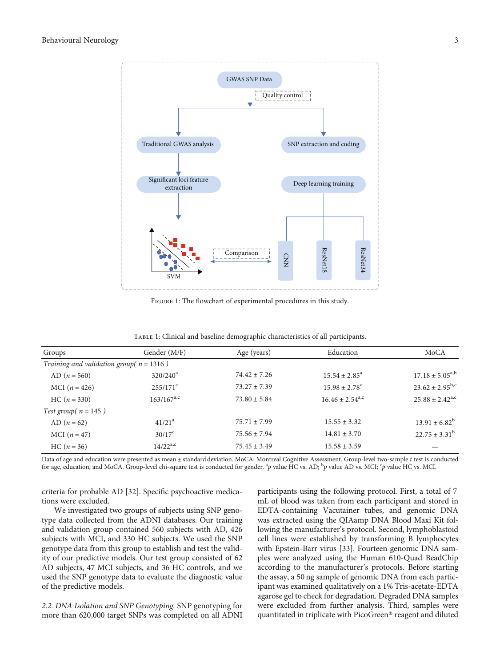<span id="page-2-0"></span>

FIGURE 1: The flowchart of experimental procedures in this study.

| Groups                                      | Gender (M/F)      | Age (years)      | Education                     | MoCA                          |
|---------------------------------------------|-------------------|------------------|-------------------------------|-------------------------------|
| Training and validation group( $n = 1316$ ) |                   |                  |                               |                               |
| AD $(n = 560)$                              | $320/240^a$       | $74.42 + 7.26$   | $15.54 + 2.85^a$              | $17.18 \pm 5.05^{a,b}$        |
| MCI $(n = 426)$                             | $255/171^{\circ}$ | $73.27 + 7.39$   | $15.98 \pm 2.78$ <sup>c</sup> | $23.62 \pm 2.95^{b,c}$        |
| $HC (n = 330)$                              | $163/167^{a,c}$   | $73.80 \pm 5.84$ | $16.46 \pm 2.54^{\text{a,c}}$ | $25.88 \pm 2.42^{\text{a,c}}$ |
| Test group( $n = 145$ )                     |                   |                  |                               |                               |
| AD $(n = 62)$                               | $41/21^a$         | $75.71 + 7.99$   | $15.55 \pm 3.32$              | $13.91 \pm 6.82^b$            |
| MCI $(n = 47)$                              | $30/17^{\circ}$   | $75.56 \pm 7.94$ | $14.81 \pm 3.70$              | $22.75 \pm 3.31^b$            |
| $HC (n = 36)$                               | $14/22^{a,c}$     | $75.45 \pm 3.49$ | $15.58 \pm 3.59$              |                               |

Table 1: Clinical and baseline demographic characteristics of all participants.

Data of age and education were presented as mean ± standard deviation. MoCA: Montreal Cognitive Assessment. Group-level two-sample *t* test is conducted for age, education, and MoCA. Group-level chi-square test is conducted for gender. <sup>a</sup>p value HC vs. AD; <sup>b</sup>p value AD vs. MCI; <sup>c</sup>p value HC vs. MCI.

criteria for probable AD [[32](#page-13-0)]. Specific psychoactive medications were excluded.

We investigated two groups of subjects using SNP genotype data collected from the ADNI databases. Our training and validation group contained 560 subjects with AD, 426 subjects with MCI, and 330 HC subjects. We used the SNP genotype data from this group to establish and test the validity of our predictive models. Our test group consisted of 62 AD subjects, 47 MCI subjects, and 36 HC controls, and we used the SNP genotype data to evaluate the diagnostic value of the predictive models.

2.2. DNA Isolation and SNP Genotyping. SNP genotyping for more than 620,000 target SNPs was completed on all ADNI

participants using the following protocol. First, a total of 7 mL of blood was taken from each participant and stored in EDTA-containing Vacutainer tubes, and genomic DNA was extracted using the QIAamp DNA Blood Maxi Kit following the manufacturer's protocol. Second, lymphoblastoid cell lines were established by transforming B lymphocytes with Epstein-Barr virus [\[33](#page-13-0)]. Fourteen genomic DNA samples were analyzed using the Human 610-Quad BeadChip according to the manufacturer's protocols. Before starting the assay, a 50 ng sample of genomic DNA from each participant was examined qualitatively on a 1% Tris-acetate-EDTA agarose gel to check for degradation. Degraded DNA samples were excluded from further analysis. Third, samples were quantitated in triplicate with PicoGreen® reagent and diluted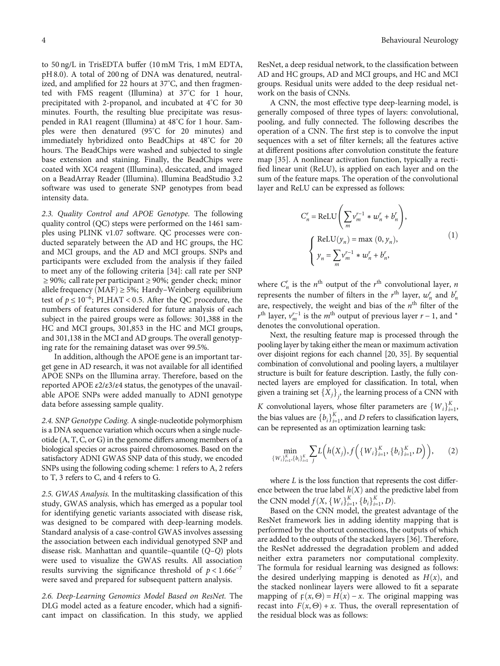to 50 ng/L in TrisEDTA buffer (10 mM Tris, 1 mM EDTA, pH 8.0). A total of 200 ng of DNA was denatured, neutralized, and amplified for 22 hours at 37° C, and then fragmented with FMS reagent (Illumina) at 37° C for 1 hour, precipitated with 2-propanol, and incubated at 4° C for 30 minutes. Fourth, the resulting blue precipitate was resuspended in RA1 reagent (Illumina) at 48° C for 1 hour. Samples were then denatured (95° C for 20 minutes) and immediately hybridized onto BeadChips at 48° C for 20 hours. The BeadChips were washed and subjected to single base extension and staining. Finally, the BeadChips were coated with XC4 reagent (Illumina), desiccated, and imaged on a BeadArray Reader (Illumina). Illumina BeadStudio 3.2 software was used to generate SNP genotypes from bead intensity data.

2.3. Quality Control and APOE Genotype. The following quality control (QC) steps were performed on the 1461 samples using PLINK v1.07 software. QC processes were conducted separately between the AD and HC groups, the HC and MCI groups, and the AD and MCI groups. SNPs and participants were excluded from the analysis if they failed to meet any of the following criteria [[34](#page-13-0)]: call rate per SNP ≥ 90*%*; call rate per participant ≥ 90*%*; gender check; minor allele frequency  $(MAF) \ge 5\%$ ; Hardy–Weinberg equilibrium test of  $p \le 10^{-6}$ ; PI\_HAT < 0.5. After the QC procedure, the numbers of features considered for future analysis of each subject in the paired groups were as follows: 301,388 in the HC and MCI groups, 301,853 in the HC and MCI groups, and 301,138 in the MCI and AD groups. The overall genotyping rate for the remaining dataset was over 99.5%.

In addition, although the APOE gene is an important target gene in AD research, it was not available for all identified APOE SNPs on the Illumina array. Therefore, based on the reported APOE *ε*2/*ε*3/*ε*4 status, the genotypes of the unavailable APOE SNPs were added manually to ADNI genotype data before assessing sample quality.

2.4. SNP Genotype Coding. A single-nucleotide polymorphism is a DNA sequence variation which occurs when a single nucleotide (A, T, C, or G) in the genome differs among members of a biological species or across paired chromosomes. Based on the satisfactory ADNI GWAS SNP data of this study, we encoded SNPs using the following coding scheme: 1 refers to A, 2 refers to T, 3 refers to C, and 4 refers to G.

2.5. GWAS Analysis. In the multitasking classification of this study, GWAS analysis, which has emerged as a popular tool for identifying genetic variants associated with disease risk, was designed to be compared with deep-learning models. Standard analysis of a case-control GWAS involves assessing the association between each individual genotyped SNP and disease risk. Manhattan and quantile–quantile (*Q*–*Q*) plots were used to visualize the GWAS results. All association results surviving the significance threshold of  $p < 1.66e^{-7}$ were saved and prepared for subsequent pattern analysis.

2.6. Deep-Learning Genomics Model Based on ResNet. The DLG model acted as a feature encoder, which had a significant impact on classification. In this study, we applied

ResNet, a deep residual network, to the classification between AD and HC groups, AD and MCI groups, and HC and MCI groups. Residual units were added to the deep residual network on the basis of CNNs.

A CNN, the most effective type deep-learning model, is generally composed of three types of layers: convolutional, pooling, and fully connected. The following describes the operation of a CNN. The first step is to convolve the input sequences with a set of filter kernels; all the features active at different positions after convolution constitute the feature map [\[35\]](#page-13-0). A nonlinear activation function, typically a rectified linear unit (ReLU), is applied on each layer and on the sum of the feature maps. The operation of the convolutional layer and ReLU can be expressed as follows:

$$
C_n^r = \text{ReLU}\left(\sum_m v_m^{r-1} * w_n^r + b_n^r\right),
$$
  

$$
\begin{cases} \text{ReLU}(y_n) = \max(0, y_n), \\ y_n = \sum_m v_m^{r-1} * w_n^r + b_n^r, \end{cases}
$$
 (1)

where  $C_n^r$  is the  $n^{\text{th}}$  output of the  $r^{\text{th}}$  convolutional layer,  $n$ represents the number of filters in the  $r<sup>th</sup>$  layer,  $w<sub>n</sub><sup>r</sup>$  and  $b<sub>n</sub><sup>r</sup>$ are, respectively, the weight and bias of the  $n^{\text{th}}$  filter of the  $r<sup>th</sup>$  layer,  $v<sub>m</sub><sup>r-1</sup>$  is the *m*<sup>th</sup> output of previous layer *r* − 1, and <sup>∗</sup> denotes the convolutional operation.

Next, the resulting feature map is processed through the pooling layer by taking either the mean or maximum activation over disjoint regions for each channel [\[20](#page-13-0), [35\]](#page-13-0). By sequential combination of convolutional and pooling layers, a multilayer structure is built for feature description. Lastly, the fully connected layers are employed for classification. In total, when given a training set  $\{X_j\}_j$ , the learning process of a CNN with *K* convolutional layers, whose filter parameters are  $\{W_i\}_{i=1}^K$ , the high values are  $\{h\}_{i=1}^K$ , and *D* geometer electronical layers the bias values are  ${b_i}_{i=1}^K$ , and *D* refers to classification layers, can be represented as an optimization learning task:

$$
\min_{\{W_i\}_{i=1}^K, \{b_i\}_{i=1}^K} \sum_j L\left(h(X_j), f\left(\{W_i\}_{i=1}^K, \{b_i\}_{i=1}^K, D\right)\right),\tag{2}
$$

where *L* is the loss function that represents the cost difference between the true label  $h(X)$  and the predictive label from the CNN model  $f(X, \{W_i\}_{i=1}^K, \{b_i\}_{i=1}^K, D)$ .<br>Based on the CNN model, the greater

Based on the CNN model, the greatest advantage of the ResNet framework lies in adding identity mapping that is performed by the shortcut connections, the outputs of which are added to the outputs of the stacked layers [\[36\]](#page-13-0). Therefore, the ResNet addressed the degradation problem and added neither extra parameters nor computational complexity. The formula for residual learning was designed as follows: the desired underlying mapping is denoted as  $H(x)$ , and the stacked nonlinear layers were allowed to fit a separate mapping of  $F(x, \Theta) = H(x) - x$ . The original mapping was recast into  $F(x, \Theta) + x$ . Thus, the overall representation of the residual block was as follows: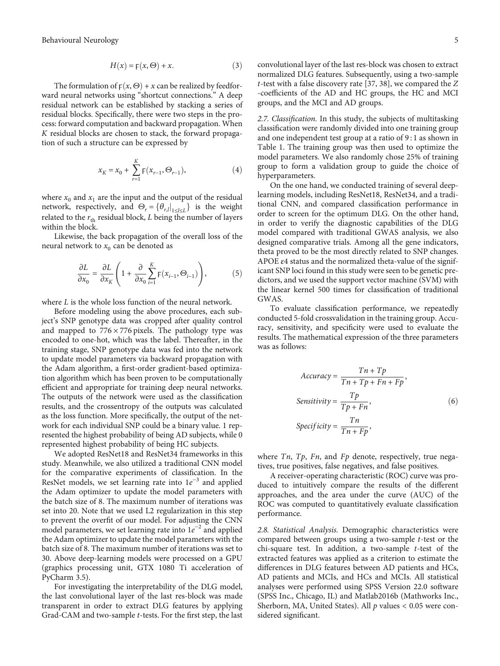$$
H(x) = F(x, \Theta) + x.
$$
 (3)

The formulation of  $F(x, \Theta) + x$  can be realized by feedforward neural networks using "shortcut connections." A deep residual network can be established by stacking a series of residual blocks. Specifically, there were two steps in the process: forward computation and backward propagation. When *K* residual blocks are chosen to stack, the forward propagation of such a structure can be expressed by

$$
x_K = x_0 + \sum_{r=1}^K \mathsf{F}\big(x_{r-1}, \Theta_{r-1}\big), \tag{4}
$$

where  $x_0$  and  $x_1$  are the input and the output of the residual network, respectively, and  $\Theta_r = {\theta_{r,l}}|_{1 \le l \le L}$  is the weight related to the  $r_{\text{th}}$  residual block, *L* being the number of layers within the block.

Likewise, the back propagation of the overall loss of the neural network to  $x_0$  can be denoted as

$$
\frac{\partial L}{\partial x_0} = \frac{\partial L}{\partial x_K} \left( 1 + \frac{\partial}{\partial x_0} \sum_{i=1}^K F(x_{i-1}, \Theta_{i-1}) \right),\tag{5}
$$

where *L* is the whole loss function of the neural network.

Before modeling using the above procedures, each subject's SNP genotype data was cropped after quality control and mapped to  $776 \times 776$  pixels. The pathology type was encoded to one-hot, which was the label. Thereafter, in the training stage, SNP genotype data was fed into the network to update model parameters via backward propagation with the Adam algorithm, a first-order gradient-based optimization algorithm which has been proven to be computationally efficient and appropriate for training deep neural networks. The outputs of the network were used as the classification results, and the crossentropy of the outputs was calculated as the loss function. More specifically, the output of the network for each individual SNP could be a binary value. 1 represented the highest probability of being AD subjects, while 0 represented highest probability of being HC subjects.

We adopted ResNet18 and ResNet34 frameworks in this study. Meanwhile, we also utilized a traditional CNN model for the comparative experiments of classification. In the ResNet models, we set learning rate into 1e<sup>-3</sup> and applied the Adam optimizer to update the model parameters with the batch size of 8. The maximum number of iterations was set into 20. Note that we used L2 regularization in this step to prevent the overfit of our model. For adjusting the CNN model parameters, we set learning rate into 1*e* <sup>−</sup><sup>2</sup> and applied the Adam optimizer to update the model parameters with the batch size of 8. The maximum number of iterations was set to 30. Above deep-learning models were processed on a GPU (graphics processing unit, GTX 1080 Ti acceleration of PyCharm 3.5).

For investigating the interpretability of the DLG model, the last convolutional layer of the last res-block was made transparent in order to extract DLG features by applying Grad-CAM and two-sample *t*-tests. For the first step, the last

convolutional layer of the last res-block was chosen to extract normalized DLG features. Subsequently, using a two-sample *t*-test with a false discovery rate [[37](#page-13-0), [38\]](#page-13-0), we compared the *Z* -coefficients of the AD and HC groups, the HC and MCI groups, and the MCI and AD groups.

2.7. Classification. In this study, the subjects of multitasking classification were randomly divided into one training group and one independent test group at a ratio of 9 : 1 as shown in Table [1](#page-2-0). The training group was then used to optimize the model parameters. We also randomly chose 25% of training group to form a validation group to guide the choice of hyperparameters.

On the one hand, we conducted training of several deeplearning models, including ResNet18, ResNet34, and a traditional CNN, and compared classification performance in order to screen for the optimum DLG. On the other hand, in order to verify the diagnostic capabilities of the DLG model compared with traditional GWAS analysis, we also designed comparative trials. Among all the gene indicators, theta proved to be the most directly related to SNP changes. APOE *ε*4 status and the normalized theta-value of the significant SNP loci found in this study were seen to be genetic predictors, and we used the support vector machine (SVM) with the linear kernel 500 times for classification of traditional GWAS.

To evaluate classification performance, we repeatedly conducted 5-fold crossvalidation in the training group. Accuracy, sensitivity, and specificity were used to evaluate the results. The mathematical expression of the three parameters was as follows:

$$
Accuracy = \frac{Tn + Tp}{Tn + Tp + Fn + Fp},
$$
  
\n
$$
Sensitivity = \frac{Tp}{Tp + Fn},
$$
  
\n
$$
Specificity = \frac{Tn}{Tn + FP},
$$
  
\n(6)

where *Tn*, *Tp*, *Fn*, and *Fp* denote, respectively, true negatives, true positives, false negatives, and false positives.

A receiver-operating characteristic (ROC) curve was produced to intuitively compare the results of the different approaches, and the area under the curve (AUC) of the ROC was computed to quantitatively evaluate classification performance.

2.8. Statistical Analysis. Demographic characteristics were compared between groups using a two-sample *t*-test or the chi-square test. In addition, a two-sample *t*-test of the extracted features was applied as a criterion to estimate the differences in DLG features between AD patients and HCs, AD patients and MCIs, and HCs and MCIs. All statistical analyses were performed using SPSS Version 22.0 software (SPSS Inc., Chicago, IL) and Matlab2016b (Mathworks Inc., Sherborn, MA, United States). All *p* values < 0.05 were considered significant.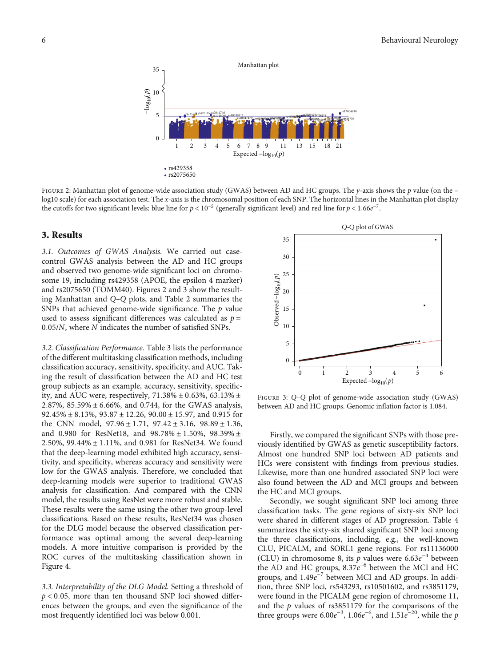

Figure 2: Manhattan plot of genome-wide association study (GWAS) between AD and HC groups. The *<sup>y</sup>*-axis shows the *<sup>p</sup>* value (on the – log10 scale) for each association test. The *x*-axis is the chromosomal position of each SNP. The horizontal lines in the Manhattan plot display the cutoffs for two significant levels: blue line for  $p < 10^{-5}$  (generally significant level) and red line for  $p < 1.66e^{-7}$ .

#### 3. Results

3.1. Outcomes of GWAS Analysis. We carried out casecontrol GWAS analysis between the AD and HC groups and observed two genome-wide significant loci on chromosome 19, including rs429358 (APOE, the epsilon 4 marker) and rs2075650 (TOMM40). Figures 2 and 3 show the resulting Manhattan and *Q*–*Q* plots, and Table [2](#page-6-0) summaries the SNPs that achieved genome-wide significance. The *p* value used to assess significant differences was calculated as  $p =$ 0*:*05/*N*, where *N* indicates the number of satisfied SNPs.

3.2. Classification Performance. Table [3](#page-6-0) lists the performance of the different multitasking classification methods, including classification accuracy, sensitivity, specificity, and AUC. Taking the result of classification between the AD and HC test group subjects as an example, accuracy, sensitivity, specificity, and AUC were, respectively, 71*:*38*%* ± 0*:*63*%*, 63*:*13*%* ± 2*:*87*%*, 85*:*59*%* ± 6*:*66*%*, and 0.744, for the GWAS analysis, 92*:*45*%* ± 8*:*13*%*, 93*:*87 ± 12*:*26, 90*:*00 ± 15*:*97, and 0.915 for the CNN model, 97*:*96 ± 1*:*71, 97*:*42 ± 3*:*16, 98*:*89 ± 1*:*36, and 0.980 for ResNet18, and 98*:*78*%* ± 1*:*50*%*, 98*:*39*%* ± 2*:*50*%*, 99*:*44*%* ± 1*:*11*%*, and 0.981 for ResNet34. We found that the deep-learning model exhibited high accuracy, sensitivity, and specificity, whereas accuracy and sensitivity were low for the GWAS analysis. Therefore, we concluded that deep-learning models were superior to traditional GWAS analysis for classification. And compared with the CNN model, the results using ResNet were more robust and stable. These results were the same using the other two group-level classifications. Based on these results, ResNet34 was chosen for the DLG model because the observed classification performance was optimal among the several deep-learning models. A more intuitive comparison is provided by the ROC curves of the multitasking classification shown in Figure [4.](#page-7-0)

3.3. Interpretability of the DLG Model. Setting a threshold of *p* < 0*:*05, more than ten thousand SNP loci showed differences between the groups, and even the significance of the most frequently identified loci was below 0.001.



Figure 3: *<sup>Q</sup>*–*<sup>Q</sup>* plot of genome-wide association study (GWAS) between AD and HC groups. Genomic inflation factor is 1.084.

Firstly, we compared the significant SNPs with those previously identified by GWAS as genetic susceptibility factors. Almost one hundred SNP loci between AD patients and HCs were consistent with findings from previous studies. Likewise, more than one hundred associated SNP loci were also found between the AD and MCI groups and between the HC and MCI groups.

Secondly, we sought significant SNP loci among three classification tasks. The gene regions of sixty-six SNP loci were shared in different stages of AD progression. Table [4](#page-8-0) summarizes the sixty-six shared significant SNP loci among the three classifications, including, e.g., the well-known CLU, PICALM, and SORL1 gene regions. For rs11136000 (CLU) in chromosome 8, its  $\bar{p}$  values were 6.63 $e^{-4}$  between the AD and HC groups, 8.37e<sup>-6</sup> between the MCI and HC groups, and 1.49e<sup>-7</sup> between MCI and AD groups. In addition, three SNP loci, rs543293, rs10501602, and rs3851179, were found in the PICALM gene region of chromosome 11, and the *p* values of rs3851179 for the comparisons of the three groups were  $6.00e^{-3}$ ,  $1.06e^{-6}$ , and  $1.51e^{-20}$ , while the *p*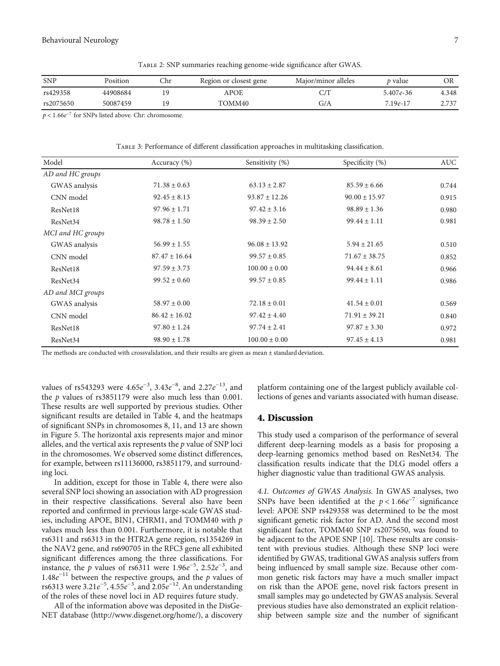Table 2: SNP summaries reaching genome-wide significance after GWAS.

<span id="page-6-0"></span>

| <b>SNP</b> | Position | Chr | Region or closest gene | Major/minor alleles | <i>t</i> value | ЭR    |
|------------|----------|-----|------------------------|---------------------|----------------|-------|
| rs429358   | 44908684 |     | APOE                   |                     | $5.407e - 36$  | 4.348 |
| rs2075650  | 50087459 | 1 G | TOMM40                 | G/A                 | $7.19e-17$     | 2.737 |

*p* < 1*:*66*e*<sup>−</sup><sup>7</sup> for SNPs listed above. Chr: chromosome.

Table 3: Performance of different classification approaches in multitasking classification.

| Model                | Accuracy (%)      | Sensitivity (%)   | Specificity (%)   | AUC   |
|----------------------|-------------------|-------------------|-------------------|-------|
| AD and HC groups     |                   |                   |                   |       |
| GWAS analysis        | $71.38 \pm 0.63$  | $63.13 \pm 2.87$  | $85.59 \pm 6.66$  | 0.744 |
| CNN model            | $92.45 \pm 8.13$  | $93.87 \pm 12.26$ | $90.00 \pm 15.97$ | 0.915 |
| ResNet18             | $97.96 \pm 1.71$  | $97.42 \pm 3.16$  | $98.89 \pm 1.36$  | 0.980 |
| ResNet34             | $98.78 \pm 1.50$  | $98.39 \pm 2.50$  | $99.44 \pm 1.11$  | 0.981 |
| MCI and HC groups    |                   |                   |                   |       |
| GWAS analysis        | $56.99 \pm 1.55$  | $96.08 \pm 13.92$ | $5.94 \pm 21.65$  | 0.510 |
| CNN model            | $87.47 \pm 16.64$ | $99.57 \pm 0.85$  | $71.67 \pm 38.75$ | 0.852 |
| ResNet18             | $97.59 \pm 3.73$  | $100.00 \pm 0.00$ | $94.44 \pm 8.61$  | 0.966 |
| ResNet34             | $99.52 \pm 0.60$  | $99.57 \pm 0.85$  | $99.44 \pm 1.11$  | 0.986 |
| AD and MCI groups    |                   |                   |                   |       |
| GWAS analysis        | $58.97 \pm 0.00$  | $72.18 \pm 0.01$  | $41.54 \pm 0.01$  | 0.569 |
| CNN model            | $86.42 \pm 16.02$ | $97.42 \pm 4.40$  | $71.91 \pm 39.21$ | 0.840 |
| ResNet18             | $97.80 \pm 1.24$  | $97.74 \pm 2.41$  | $97.87 \pm 3.30$  | 0.972 |
| ResNet <sub>34</sub> | $98.90 \pm 1.78$  | $100.00 \pm 0.00$ | $97.45 \pm 4.13$  | 0.981 |

The methods are conducted with crossvalidation, and their results are given as mean  $\pm$  standard deviation.

values of rs543293 were 4.65 $e^{-3}$ , 3.43 $e^{-8}$ , and 2.27 $e^{-13}$ , and the *p* values of rs3851179 were also much less than 0.001. These results are well supported by previous studies. Other significant results are detailed in Table [4,](#page-8-0) and the heatmaps of significant SNPs in chromosomes 8, 11, and 13 are shown in Figure [5.](#page-11-0) The horizontal axis represents major and minor alleles, and the vertical axis represents the *p* value of SNP loci in the chromosomes. We observed some distinct differences, for example, between rs11136000, rs3851179, and surrounding loci.

In addition, except for those in Table [4,](#page-8-0) there were also several SNP loci showing an association with AD progression in their respective classifications. Several also have been reported and confirmed in previous large-scale GWAS studies, including APOE, BIN1, CHRM1, and TOMM40 with *p* values much less than 0.001. Furthermore, it is notable that rs6311 and rs6313 in the HTR2A gene region, rs1354269 in the NAV2 gene, and rs690705 in the RFC3 gene all exhibited significant differences among the three classifications. For instance, the *p* values of rs6311 were  $1.96e^{-5}$ ,  $2.52e^{-3}$ , and  $1.48e^{-11}$  between the respective groups, and the *p* values of rs6313 were 3.21*e*<sup>-5</sup>, 4.55*e*<sup>-3</sup>, and 2.05*e*<sup>-12</sup>. An understanding of the roles of these novel loci in AD requires future study.

All of the information above was deposited in the DisGe-NET database ([http://www.disgenet.org/home/\)](http://www.disgenet.org/home/), a discovery platform containing one of the largest publicly available collections of genes and variants associated with human disease.

#### 4. Discussion

This study used a comparison of the performance of several different deep-learning models as a basis for proposing a deep-learning genomics method based on ResNet34. The classification results indicate that the DLG model offers a higher diagnostic value than traditional GWAS analysis.

4.1. Outcomes of GWAS Analysis. In GWAS analyses, two SNPs have been identified at the  $p < 1.66e^{-7}$  significance level: APOE SNP rs429358 was determined to be the most significant genetic risk factor for AD. And the second most significant factor, TOMM40 SNP rs2075650, was found to be adjacent to the APOE SNP [[10](#page-12-0)]. These results are consistent with previous studies. Although these SNP loci were identified by GWAS, traditional GWAS analysis suffers from being influenced by small sample size. Because other common genetic risk factors may have a much smaller impact on risk than the APOE gene, novel risk factors present in small samples may go undetected by GWAS analysis. Several previous studies have also demonstrated an explicit relationship between sample size and the number of significant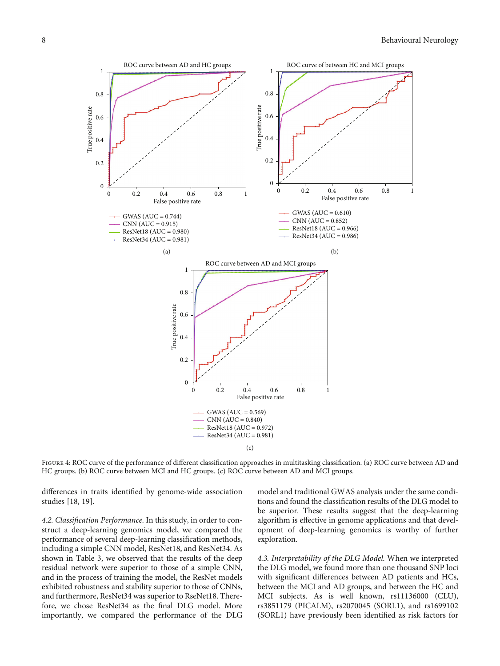<span id="page-7-0"></span>

FIGURE 4: ROC curve of the performance of different classification approaches in multitasking classification. (a) ROC curve between AD and HC groups. (b) ROC curve between MCI and HC groups. (c) ROC curve between AD and MCI groups.

differences in traits identified by genome-wide association studies [[18](#page-13-0), [19\]](#page-13-0).

4.2. Classification Performance. In this study, in order to construct a deep-learning genomics model, we compared the performance of several deep-learning classification methods, including a simple CNN model, ResNet18, and ResNet34. As shown in Table [3,](#page-6-0) we observed that the results of the deep residual network were superior to those of a simple CNN, and in the process of training the model, the ResNet models exhibited robustness and stability superior to those of CNNs, and furthermore, ResNet34 was superior to RseNet18. Therefore, we chose ResNet34 as the final DLG model. More importantly, we compared the performance of the DLG

model and traditional GWAS analysis under the same conditions and found the classification results of the DLG model to be superior. These results suggest that the deep-learning algorithm is effective in genome applications and that development of deep-learning genomics is worthy of further exploration.

4.3. Interpretability of the DLG Model. When we interpreted the DLG model, we found more than one thousand SNP loci with significant differences between AD patients and HCs, between the MCI and AD groups, and between the HC and MCI subjects. As is well known, rs11136000 (CLU), rs3851179 (PICALM), rs2070045 (SORL1), and rs1699102 (SORL1) have previously been identified as risk factors for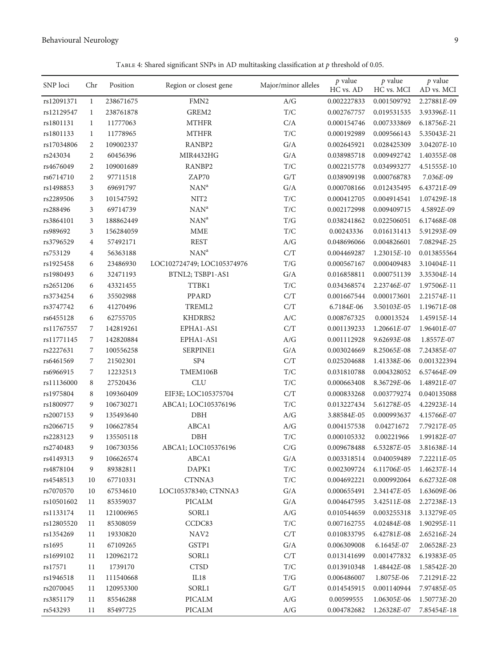TABLE 4: Shared significant SNPs in AD multitasking classification at  $p$  threshold of 0.05.

<span id="page-8-0"></span>

| SNP loci   | Chr            | Position  | Region or closest gene     | Major/minor alleles                                               | $p$ value<br>HC vs. AD | $p$ value<br>HC vs. MCI | $p$ value<br>AD vs. MCI |
|------------|----------------|-----------|----------------------------|-------------------------------------------------------------------|------------------------|-------------------------|-------------------------|
| rs12091371 | 1              | 238671675 | FMN <sub>2</sub>           | A/G                                                               | 0.002227833            | 0.001509792             | 2.27881E-09             |
| rs12129547 | $\mathbf{1}$   | 238761878 | GREM2                      | $\mathrm{T}/\mathrm{C}$                                           | 0.002767757            | 0.019531535             | 3.93396E-11             |
| rs1801131  | $\mathbf{1}$   | 11777063  | <b>MTHFR</b>               | C/A                                                               | 0.000154746            | 0.007333869             | 6.18756E-21             |
| rs1801133  | $\mathbf{1}$   | 11778965  | <b>MTHFR</b>               | $\mathrm{T}/\mathrm{C}$                                           | 0.000192989            | 0.009566143             | 5.35043E-21             |
| rs17034806 | 2              | 109002337 | RANBP2                     | G/A                                                               | 0.002645921            | 0.028425309             | 3.04207E-10             |
| rs243034   | $\overline{2}$ | 60456396  | <b>MIR4432HG</b>           | G/A                                                               | 0.038985718            | 0.009492742             | 1.40355E-08             |
| rs4676049  | $\overline{2}$ | 109001689 | RANBP2                     | $\mathrm{T}/\mathrm{C}$                                           | 0.002215778            | 0.034993277             | 4.51555E-10             |
| rs6714710  | $\overline{2}$ | 97711518  | ZAP70                      | G/T                                                               | 0.038909198            | 0.000768783             | $7.036E-09$             |
| rs1498853  | 3              | 69691797  | NAN <sup>a</sup>           | G/A                                                               | 0.000708166            | 0.012435495             | 6.43721E-09             |
| rs2289506  | 3              | 101547592 | NIT <sub>2</sub>           | T/C                                                               | 0.000412705            | 0.004914541             | 1.07429E-18             |
|            |                |           | NAN <sup>a</sup>           | T/C                                                               |                        |                         |                         |
| rs288496   | 3              | 69714739  | NAN <sup>a</sup>           |                                                                   | 0.002172998            | 0.009409715             | 4.5892E-09              |
| rs3864101  | 3              | 188862449 |                            | T/G                                                               | 0.038241862            | 0.022506051             | 6.17468E-08             |
| rs989692   | 3              | 156284059 | <b>MME</b>                 | T/C                                                               | 0.00243336             | 0.016131413             | 5.91293E-09             |
| rs3796529  | $\overline{4}$ | 57492171  | <b>REST</b>                | A/G                                                               | 0.048696066            | 0.004826601             | 7.08294E-25             |
| rs753129   | 4              | 56363188  | NAN <sup>a</sup>           | C/T                                                               | 0.004469287            | 1.23015E-10             | 0.013855564             |
| rs1925458  | 6              | 23486930  | LOC102724749; LOC105374976 | T/G                                                               | 0.000567167            | 0.000409483             | $3.10404E-11$           |
| rs1980493  | 6              | 32471193  | BTNL2; TSBP1-AS1           | G/A                                                               | 0.016858811            | 0.000751139             | 3.35304E-14             |
| rs2651206  | 6              | 43321455  | TTBK1                      | T/C                                                               | 0.034368574            | 2.23746E-07             | 1.97506E-11             |
| rs3734254  | 6              | 35502988  | <b>PPARD</b>               | C/T                                                               | 0.001667544            | 0.000173601             | 2.21574E-11             |
| rs3747742  | 6              | 41270496  | TREML2                     | C/T                                                               | 6.7184E-06             | 3.50103E-05             | $1.19671E-08$           |
| rs6455128  | 6              | 62755705  | KHDRBS2                    | $\ensuremath{\mathcal{A}}\xspace/\ensuremath{\mathcal{C}}\xspace$ | 0.008767325            | 0.00013524              | 1.45915E-14             |
| rs11767557 | 7              | 142819261 | EPHA1-AS1                  | C/T                                                               | 0.001139233            | $1.20661E-07$           | 1.96401E-07             |
| rs11771145 | 7              | 142820884 | EPHA1-AS1                  | A/G                                                               | 0.001112928            | 9.62693E-08             | 1.8557E-07              |
| rs2227631  | 7              | 100556258 | SERPINE1                   | G/A                                                               | 0.003024669            | 8.25065E-08             | 7.24385E-07             |
| rs6461569  | 7              | 21502301  | SP <sub>4</sub>            | C/T                                                               | 0.025204688            | 1.41338E-06             | 0.001322394             |
| rs6966915  | 7              | 12232513  | TMEM106B                   | T/C                                                               | 0.031810788            | 0.004328052             | 6.57464E-09             |
| rs11136000 | 8              | 27520436  | <b>CLU</b>                 | T/C                                                               | 0.000663408            | 8.36729E-06             | 1.48921E-07             |
| rs1975804  | 8              | 109360409 | EIF3E; LOC105375704        | C/T                                                               | 0.000833268            | 0.003779274             | 0.040135088             |
| rs1800977  | 9              | 106730271 | ABCA1; LOC105376196        | T/C                                                               | 0.013227434            | 5.61278E-05             | 4.22923E-14             |
| rs2007153  | 9              | 135493640 | DBH                        | A/G                                                               | 3.88584E-05            | 0.000993637             | 4.15766E-07             |
| rs2066715  | 9              | 106627854 | ABCA1                      | A/G                                                               | 0.004157538            | 0.04271672              | 7.79217E-05             |
| rs2283123  | 9              | 135505118 | DBH                        | T/C                                                               | 0.000105332            | 0.00221966              | 1.99182E-07             |
| rs2740483  | 9              | 106730356 | ABCA1; LOC105376196        | $\mathrm{C/G}$                                                    | 0.009678488            | 6.53287E-05             | 3.81638E-14             |
| rs4149313  | 9              | 106626574 | ABCA1                      | G/A                                                               | 0.003318514            | 0.040059489             | 7.22211E-05             |
| rs4878104  | 9              | 89382811  | DAPK1                      | $\mathrm{T}/\mathrm{C}$                                           | 0.002309724            | 6.11706E-05             | 1.46237E-14             |
| rs4548513  | 10             | 67710331  | CTNNA3                     | $\mathrm{T}/\mathrm{C}$                                           | 0.004692221            | 0.000992064             | 6.62732E-08             |
| rs7070570  | 10             | 67534610  | LOC105378340; CTNNA3       | G/A                                                               | 0.000655491            | 2.34147E-05             | 1.63609E-06             |
| rs10501602 | 11             | 85359037  | <b>PICALM</b>              | $\mathrm{G}/\mathrm{A}$                                           | 0.004647595            | $3.42511E-08$           | 2.27238E-13             |
| rs1133174  | 11             | 121006965 | SORL1                      | A/G                                                               | 0.010544659            | 0.003255318             | 3.13279E-05             |
| rs12805520 | 11             | 85308059  | CCDC83                     | $\mathrm{T}/\mathrm{C}$                                           | 0.007162755            | 4.02484E-08             | 1.90295E-11             |
| rs1354269  | 11             | 19330820  | NAV <sub>2</sub>           | C/T                                                               | 0.010833795            | 6.42781E-08             | 2.65216E-24             |
| rs1695     | 11             | 67109265  | GSTP1                      | G/A                                                               | 0.006309008            | 6.1645E-07              | 2.06528E-23             |
| rs1699102  | 11             | 120962172 | SORL1                      | $\rm C/T$                                                         | 0.013141699            | 0.001477832             | 6.19383E-05             |
| rs17571    | 11             | 1739170   | <b>CTSD</b>                | $\mathrm{T}/\mathrm{C}$                                           | 0.013910348            | 1.48442E-08             | 1.58542E-20             |
| rs1946518  | 11             | 111540668 | IL18                       | T/G                                                               | 0.006486007            | 1.8075E-06              | 7.21291E-22             |
| rs2070045  | 11             | 120953300 | SORL1                      | G/T                                                               | 0.014545915            | 0.001140944             | 7.97485E-05             |
| rs3851179  | 11             | 85546288  | PICALM                     | A/G                                                               | 0.00599555             | 1.06305E-06             | 1.50773E-20             |
| rs543293   | 11             | 85497725  | PICALM                     | A/G                                                               | 0.004782682            | 1.26328E-07             | 7.85454E-18             |
|            |                |           |                            |                                                                   |                        |                         |                         |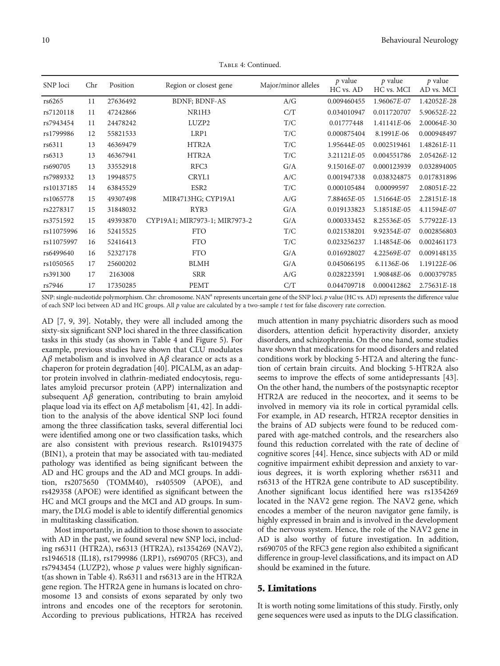| SNP loci   | Chr | Position | Region or closest gene        | Major/minor alleles | $p$ value<br>HC vs. AD | $p$ value<br>HC vs. MCI | $p$ value<br>AD vs. MCI |
|------------|-----|----------|-------------------------------|---------------------|------------------------|-------------------------|-------------------------|
| rs6265     | 11  | 27636492 | <b>BDNF</b> ; <b>BDNF-AS</b>  | A/G                 | 0.009460455            | 1.96067E-07             | 1.42052E-28             |
| rs7120118  | 11  | 47242866 | NR1H3                         | C/T                 | 0.034010947            | 0.011720707             | 5.90652E-22             |
| rs7943454  | 11  | 24478242 | LUZP2                         | T/C                 | 0.01777448             | 1.41141E-06             | 2.00064E-30             |
| rs1799986  | 12  | 55821533 | LRP1                          | T/C                 | 0.000875404            | $8.1991E-06$            | 0.000948497             |
| rs6311     | 13  | 46369479 | HTR2A                         | T/C                 | 1.95644E-05            | 0.002519461             | $1.48261E-11$           |
| rs6313     | 13  | 46367941 | HTR2A                         | T/C                 | $3.21121E-05$          | 0.004551786             | 2.05426E-12             |
| rs690705   | 13  | 33552918 | RFC3                          | G/A                 | 9.15016E-07            | 0.000123939             | 0.032894005             |
| rs7989332  | 13  | 19948575 | CRYL1                         | A/C                 | 0.001947338            | 0.038324875             | 0.017831896             |
| rs10137185 | 14  | 63845529 | ESR <sub>2</sub>              | T/C                 | 0.000105484            | 0.00099597              | $2.08051E-22$           |
| rs1065778  | 15  | 49307498 | MIR4713HG; CYP19A1            | A/G                 | 7.88465E-05            | 1.51664E-05             | $2.28151E-18$           |
| rs2278317  | 15  | 31848032 | RYR3                          | G/A                 | 0.019133823            | 5.18518E-05             | 4.11594E-07             |
| rs3751592  | 15  | 49393870 | CYP19A1; MIR7973-1; MIR7973-2 | G/A                 | 0.000333452            | 8.25536E-05             | 5.77922E-13             |
| rs11075996 | 16  | 52415525 | <b>FTO</b>                    | T/C                 | 0.021538201            | 9.92354E-07             | 0.002856803             |
| rs11075997 | 16  | 52416413 | <b>FTO</b>                    | T/C                 | 0.023256237            | 1.14854E-06             | 0.002461173             |
| rs6499640  | 16  | 52327178 | <b>FTO</b>                    | G/A                 | 0.016928027            | 4.22569E-07             | 0.009148135             |
| rs1050565  | 17  | 25600202 | <b>BLMH</b>                   | G/A                 | 0.045066195            | 6.1136E-06              | 1.19122E-06             |
| rs391300   | 17  | 2163008  | <b>SRR</b>                    | A/G                 | 0.028223591            | 1.90848E-06             | 0.000379785             |
| rs7946     | 17  | 17350285 | <b>PEMT</b>                   | C/T                 | 0.044709718            | 0.000412862             | 2.75631E-18             |

Table 4: Continued.

SNP: single-nucleotide polymorphism. Chr: chromosome. NAN<sup>a</sup> represents uncertain gene of the SNP loci. *p* value (HC vs. AD) represents the difference value of each SNP loci between AD and HC groups. All *p* value are calculated by a two-sample *t* test for false discovery rate correction.

AD [[7](#page-12-0), [9](#page-12-0), [39](#page-13-0)]. Notably, they were all included among the sixty-six significant SNP loci shared in the three classification tasks in this study (as shown in Table [4](#page-8-0) and Figure [5](#page-11-0)). For example, previous studies have shown that CLU modulates A*β* metabolism and is involved in A*β* clearance or acts as a chaperon for protein degradation [[40](#page-13-0)]. PICALM, as an adaptor protein involved in clathrin-mediated endocytosis, regulates amyloid precursor protein (APP) internalization and subsequent A*β* generation, contributing to brain amyloid plaque load via its effect on A*β* metabolism [\[41, 42\]](#page-13-0). In addition to the analysis of the above identical SNP loci found among the three classification tasks, several differential loci were identified among one or two classification tasks, which are also consistent with previous research. Rs10194375 (BIN1), a protein that may be associated with tau-mediated pathology was identified as being significant between the AD and HC groups and the AD and MCI groups. In addition, rs2075650 (TOMM40), rs405509 (APOE), and rs429358 (APOE) were identified as significant between the HC and MCI groups and the MCI and AD groups. In summary, the DLG model is able to identify differential genomics in multitasking classification.

Most importantly, in addition to those shown to associate with AD in the past, we found several new SNP loci, including rs6311 (HTR2A), rs6313 (HTR2A), rs1354269 (NAV2), rs1946518 (IL18), rs1799986 (LRP1), rs690705 (RFC3), and rs7943454 (LUZP2), whose *p* values were highly significant(as shown in Table [4\)](#page-8-0). Rs6311 and rs6313 are in the HTR2A gene region. The HTR2A gene in humans is located on chromosome 13 and consists of exons separated by only two introns and encodes one of the receptors for serotonin. According to previous publications, HTR2A has received

much attention in many psychiatric disorders such as mood disorders, attention deficit hyperactivity disorder, anxiety disorders, and schizophrenia. On the one hand, some studies have shown that medications for mood disorders and related conditions work by blocking 5-HT2A and altering the function of certain brain circuits. And blocking 5-HTR2A also seems to improve the effects of some antidepressants [[43](#page-13-0)]. On the other hand, the numbers of the postsynaptic receptor HTR2A are reduced in the neocortex, and it seems to be involved in memory via its role in cortical pyramidal cells. For example, in AD research, HTR2A receptor densities in the brains of AD subjects were found to be reduced compared with age-matched controls, and the researchers also found this reduction correlated with the rate of decline of cognitive scores [\[44\]](#page-14-0). Hence, since subjects with AD or mild cognitive impairment exhibit depression and anxiety to various degrees, it is worth exploring whether rs6311 and rs6313 of the HTR2A gene contribute to AD susceptibility. Another significant locus identified here was rs1354269 located in the NAV2 gene region. The NAV2 gene, which encodes a member of the neuron navigator gene family, is highly expressed in brain and is involved in the development of the nervous system. Hence, the role of the NAV2 gene in AD is also worthy of future investigation. In addition, rs690705 of the RFC3 gene region also exhibited a significant difference in group-level classifications, and its impact on AD should be examined in the future.

#### 5. Limitations

It is worth noting some limitations of this study. Firstly, only gene sequences were used as inputs to the DLG classification.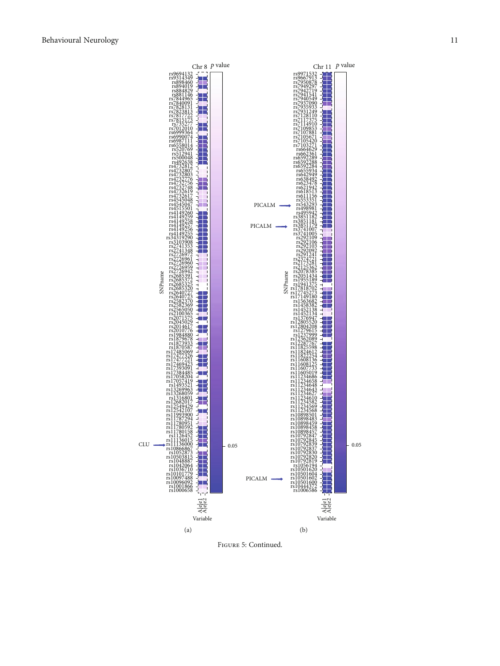

Figure 5: Continued.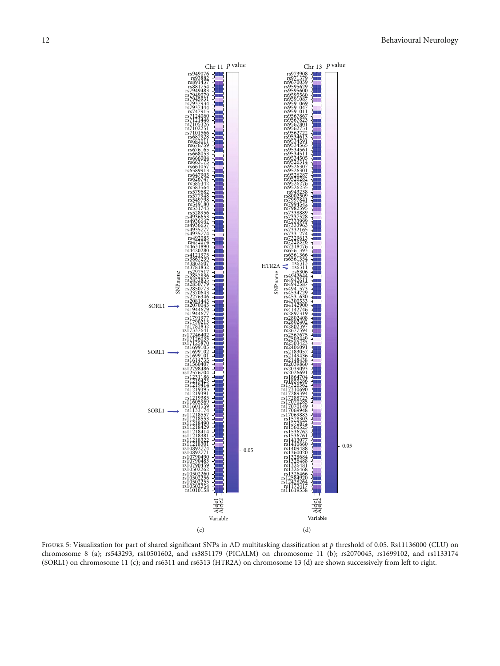<span id="page-11-0"></span>

Figure 5: Visualization for part of shared significant SNPs in AD multitasking classification at *<sup>p</sup>* threshold of 0.05. Rs11136000 (CLU) on chromosome 8 (a); rs543293, rs10501602, and rs3851179 (PICALM) on chromosome 11 (b); rs2070045, rs1699102, and rs1133174 (SORL1) on chromosome 11 (c); and rs6311 and rs6313 (HTR2A) on chromosome 13 (d) are shown successively from left to right.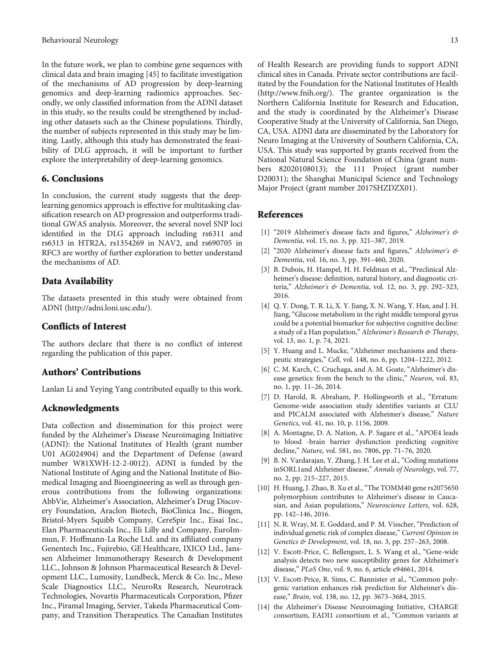<span id="page-12-0"></span>In the future work, we plan to combine gene sequences with clinical data and brain imaging [\[45\]](#page-14-0) to facilitate investigation of the mechanisms of AD progression by deep-learning genomics and deep-learning radiomics approaches. Secondly, we only classified information from the ADNI dataset in this study, so the results could be strengthened by including other datasets such as the Chinese populations. Thirdly, the number of subjects represented in this study may be limiting. Lastly, although this study has demonstrated the feasibility of DLG approach, it will be important to further explore the interpretability of deep-learning genomics.

#### 6. Conclusions

In conclusion, the current study suggests that the deeplearning genomics approach is effective for multitasking classification research on AD progression and outperforms traditional GWAS analysis. Moreover, the several novel SNP loci identified in the DLG approach including rs6311 and rs6313 in HTR2A, rs1354269 in NAV2, and rs690705 in RFC3 are worthy of further exploration to better understand the mechanisms of AD.

#### Data Availability

The datasets presented in this study were obtained from ADNI [\(http://adni.loni.usc.edu/\)](http://adni.loni.usc.edu/).

#### Conflicts of Interest

The authors declare that there is no conflict of interest regarding the publication of this paper.

#### Authors' Contributions

Lanlan Li and Yeying Yang contributed equally to this work.

#### Acknowledgments

Data collection and dissemination for this project were funded by the Alzheimer's Disease Neuroimaging Initiative (ADNI): the National Institutes of Health (grant number U01 AG024904) and the Department of Defense (award number W81XWH-12-2-0012). ADNI is funded by the National Institute of Aging and the National Institute of Biomedical Imaging and Bioengineering as well as through generous contributions from the following organizations: AbbVie, Alzheimer's Association, Alzheimer's Drug Discovery Foundation, Araclon Biotech, BioClinica Inc., Biogen, Bristol-Myers Squibb Company, CereSpir Inc., Eisai Inc., Elan Pharmaceuticals Inc., Eli Lilly and Company, EuroImmun, F. Hoffmann-La Roche Ltd. and its affiliated company Genentech Inc., Fujirebio, GE Healthcare, IXICO Ltd., Janssen Alzheimer Immunotherapy Research & Development LLC., Johnson & Johnson Pharmaceutical Research & Development LLC., Lumosity, Lundbeck, Merck & Co. Inc., Meso Scale Diagnostics LLC., NeuroRx Research, Neurotrack Technologies, Novartis Pharmaceuticals Corporation, Pfizer Inc., Piramal Imaging, Servier, Takeda Pharmaceutical Company, and Transition Therapeutics. The Canadian Institutes of Health Research are providing funds to support ADNI clinical sites in Canada. Private sector contributions are facilitated by the Foundation for the National Institutes of Health [\(http://www.fnih.org/](http://www.fnih.org/)). The grantee organization is the Northern California Institute for Research and Education, and the study is coordinated by the Alzheimer's Disease Cooperative Study at the University of California, San Diego, CA, USA. ADNI data are disseminated by the Laboratory for Neuro Imaging at the University of Southern California, CA, USA. This study was supported by grants received from the National Natural Science Foundation of China (grant numbers 82020108013); the 111 Project (grant number D20031); the Shanghai Municipal Science and Technology Major Project (grant number 2017SHZDZX01).

#### References

- [1] "2019 Alzheimer's disease facts and figures," Alzheimer's & Dementia, vol. 15, no. 3, pp. 321–387, 2019.
- [2] "2020 Alzheimer's disease facts and figures," Alzheimer's & Dementia, vol. 16, no. 3, pp. 391–460, 2020.
- [3] B. Dubois, H. Hampel, H. H. Feldman et al., "Preclinical Alzheimer's disease: definition, natural history, and diagnostic criteria," Alzheimer's & Dementia, vol. 12, no. 3, pp. 292–323, 2016.
- [4] Q. Y. Dong, T. R. Li, X. Y. Jiang, X. N. Wang, Y. Han, and J. H. Jiang, "Glucose metabolism in the right middle temporal gyrus could be a potential biomarker for subjective cognitive decline: a study of a Han population," Alzheimer's Research & Therapy, vol. 13, no. 1, p. 74, 2021.
- [5] Y. Huang and L. Mucke, "Alzheimer mechanisms and therapeutic strategies," Cell, vol. 148, no. 6, pp. 1204–1222, 2012.
- [6] C. M. Karch, C. Cruchaga, and A. M. Goate, "Alzheimer's disease genetics: from the bench to the clinic," Neuron, vol. 83, no. 1, pp. 11–26, 2014.
- [7] D. Harold, R. Abraham, P. Hollingworth et al., "Erratum: Genome-wide association study identifies variants at CLU and PICALM associated with Alzheimer's disease," Nature Genetics, vol. 41, no. 10, p. 1156, 2009.
- [8] A. Montagne, D. A. Nation, A. P. Sagare et al., "APOE4 leads to blood -brain barrier dysfunction predicting cognitive decline," Nature, vol. 581, no. 7806, pp. 71–76, 2020.
- [9] B. N. Vardarajan, Y. Zhang, J. H. Lee et al., "Coding mutations inSORL1and Alzheimer disease," Annals of Neurology, vol. 77, no. 2, pp. 215–227, 2015.
- [10] H. Huang, J. Zhao, B. Xu et al., "The TOMM40 gene rs2075650 polymorphism contributes to Alzheimer's disease in Caucasian, and Asian populations," Neuroscience Letters, vol. 628, pp. 142–146, 2016.
- [11] N. R. Wray, M. E. Goddard, and P. M. Visscher, "Prediction of individual genetic risk of complex disease," Current Opinion in Genetics & Development, vol. 18, no. 3, pp. 257–263, 2008.
- [12] V. Escott-Price, C. Bellenguez, L. S. Wang et al., "Gene-wide analysis detects two new susceptibility genes for Alzheimer's disease," PLoS One, vol. 9, no. 6, article e94661, 2014.
- [13] V. Escott-Price, R. Sims, C. Bannister et al., "Common polygenic variation enhances risk prediction for Alzheimer's disease," Brain, vol. 138, no. 12, pp. 3673–3684, 2015.
- [14] the Alzheimer's Disease Neuroimaging Initiative, CHARGE consortium, EADI1 consortium et al., "Common variants at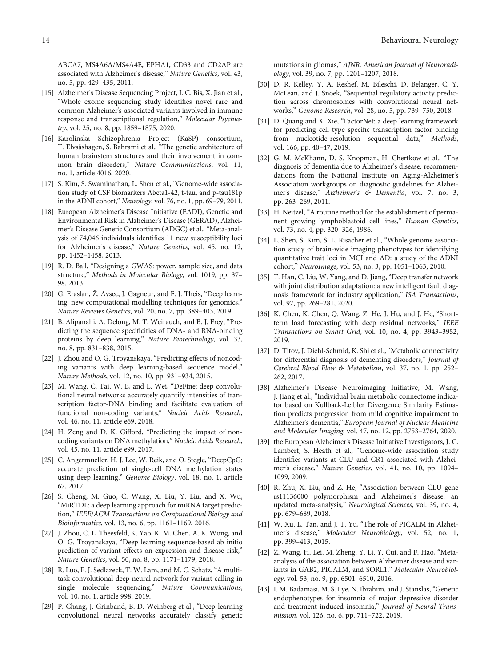<span id="page-13-0"></span>ABCA7, MS4A6A/MS4A4E, EPHA1, CD33 and CD2AP are associated with Alzheimer's disease," Nature Genetics, vol. 43, no. 5, pp. 429–435, 2011.

- [15] Alzheimer's Disease Sequencing Project, J. C. Bis, X. Jian et al., "Whole exome sequencing study identifies novel rare and common Alzheimer's-associated variants involved in immune response and transcriptional regulation," Molecular Psychiatry, vol. 25, no. 8, pp. 1859–1875, 2020.
- [16] Karolinska Schizophrenia Project (KaSP) consortium, T. Elvsåshagen, S. Bahrami et al., "The genetic architecture of human brainstem structures and their involvement in common brain disorders," Nature Communications, vol. 11, no. 1, article 4016, 2020.
- [17] S. Kim, S. Swaminathan, L. Shen et al., "Genome-wide association study of CSF biomarkers Abeta1-42, t-tau, and p-tau181p in the ADNI cohort," Neurology, vol. 76, no. 1, pp. 69–79, 2011.
- [18] European Alzheimer's Disease Initiative (EADI), Genetic and Environmental Risk in Alzheimer's Disease (GERAD), Alzheimer's Disease Genetic Consortium (ADGC) et al., "Meta-analysis of 74,046 individuals identifies 11 new susceptibility loci for Alzheimer's disease," Nature Genetics, vol. 45, no. 12, pp. 1452–1458, 2013.
- [19] R. D. Ball, "Designing a GWAS: power, sample size, and data structure," Methods in Molecular Biology, vol. 1019, pp. 37– 98, 2013.
- [20] G. Eraslan, Ž. Avsec, J. Gagneur, and F. J. Theis, "Deep learning: new computational modelling techniques for genomics," Nature Reviews Genetics, vol. 20, no. 7, pp. 389–403, 2019.
- [21] B. Alipanahi, A. Delong, M. T. Weirauch, and B. J. Frey, "Predicting the sequence specificities of DNA- and RNA-binding proteins by deep learning," Nature Biotechnology, vol. 33, no. 8, pp. 831–838, 2015.
- [22] J. Zhou and O. G. Troyanskaya, "Predicting effects of noncoding variants with deep learning-based sequence model," Nature Methods, vol. 12, no. 10, pp. 931–934, 2015.
- [23] M. Wang, C. Tai, W. E, and L. Wei, "DeFine: deep convolutional neural networks accurately quantify intensities of transcription factor-DNA binding and facilitate evaluation of functional non-coding variants," Nucleic Acids Research, vol. 46, no. 11, article e69, 2018.
- [24] H. Zeng and D. K. Gifford, "Predicting the impact of noncoding variants on DNA methylation," Nucleic Acids Research, vol. 45, no. 11, article e99, 2017.
- [25] C. Angermueller, H. J. Lee, W. Reik, and O. Stegle, "DeepCpG: accurate prediction of single-cell DNA methylation states using deep learning," Genome Biology, vol. 18, no. 1, article 67, 2017.
- [26] S. Cheng, M. Guo, C. Wang, X. Liu, Y. Liu, and X. Wu, "MiRTDL: a deep learning approach for miRNA target prediction," IEEE/ACM Transactions on Computational Biology and Bioinformatics, vol. 13, no. 6, pp. 1161–1169, 2016.
- [27] J. Zhou, C. L. Theesfeld, K. Yao, K. M. Chen, A. K. Wong, and O. G. Troyanskaya, "Deep learning sequence-based ab initio prediction of variant effects on expression and disease risk," Nature Genetics, vol. 50, no. 8, pp. 1171–1179, 2018.
- [28] R. Luo, F. J. Sedlazeck, T. W. Lam, and M. C. Schatz, "A multitask convolutional deep neural network for variant calling in single molecule sequencing," Nature Communications, vol. 10, no. 1, article 998, 2019.
- [29] P. Chang, J. Grinband, B. D. Weinberg et al., "Deep-learning convolutional neural networks accurately classify genetic

mutations in gliomas," AJNR. American Journal of Neuroradiology, vol. 39, no. 7, pp. 1201–1207, 2018.

- [30] D. R. Kelley, Y. A. Reshef, M. Bileschi, D. Belanger, C. Y. McLean, and J. Snoek, "Sequential regulatory activity prediction across chromosomes with convolutional neural networks," Genome Research, vol. 28, no. 5, pp. 739–750, 2018.
- [31] D. Quang and X. Xie, "FactorNet: a deep learning framework for predicting cell type specific transcription factor binding from nucleotide-resolution sequential data," Methods, vol. 166, pp. 40–47, 2019.
- [32] G. M. McKhann, D. S. Knopman, H. Chertkow et al., "The diagnosis of dementia due to Alzheimer's disease: recommendations from the National Institute on Aging-Alzheimer's Association workgroups on diagnostic guidelines for Alzheimer's disease," Alzheimer's & Dementia, vol. 7, no. 3, pp. 263–269, 2011.
- [33] H. Neitzel, "A routine method for the establishment of permanent growing lymphoblastoid cell lines," Human Genetics, vol. 73, no. 4, pp. 320–326, 1986.
- [34] L. Shen, S. Kim, S. L. Risacher et al., "Whole genome association study of brain-wide imaging phenotypes for identifying quantitative trait loci in MCI and AD: a study of the ADNI cohort," NeuroImage, vol. 53, no. 3, pp. 1051–1063, 2010.
- [35] T. Han, C. Liu, W. Yang, and D. Jiang, "Deep transfer network with joint distribution adaptation: a new intelligent fault diagnosis framework for industry application," ISA Transactions, vol. 97, pp. 269–281, 2020.
- [36] K. Chen, K. Chen, Q. Wang, Z. He, J. Hu, and J. He, "Shortterm load forecasting with deep residual networks," IEEE Transactions on Smart Grid, vol. 10, no. 4, pp. 3943–3952, 2019.
- [37] D. Titov, J. Diehl-Schmid, K. Shi et al., "Metabolic connectivity for differential diagnosis of dementing disorders," Journal of Cerebral Blood Flow & Metabolism, vol. 37, no. 1, pp. 252– 262, 2017.
- [38] Alzheimer's Disease Neuroimaging Initiative, M. Wang, J. Jiang et al., "Individual brain metabolic connectome indicator based on Kullback-Leibler Divergence Similarity Estimation predicts progression from mild cognitive impairment to Alzheimer's dementia," European Journal of Nuclear Medicine and Molecular Imaging, vol. 47, no. 12, pp. 2753–2764, 2020.
- [39] the European Alzheimer's Disease Initiative Investigators, J. C. Lambert, S. Heath et al., "Genome-wide association study identifies variants at CLU and CR1 associated with Alzheimer's disease," Nature Genetics, vol. 41, no. 10, pp. 1094– 1099, 2009.
- [40] R. Zhu, X. Liu, and Z. He, "Association between CLU gene rs11136000 polymorphism and Alzheimer's disease: an updated meta-analysis," Neurological Sciences, vol. 39, no. 4, pp. 679–689, 2018.
- [41] W. Xu, L. Tan, and J. T. Yu, "The role of PICALM in Alzheimer's disease," Molecular Neurobiology, vol. 52, no. 1, pp. 399–413, 2015.
- [42] Z. Wang, H. Lei, M. Zheng, Y. Li, Y. Cui, and F. Hao, "Metaanalysis of the association between Alzheimer disease and variants in GAB2, PICALM, and SORL1," Molecular Neurobiology, vol. 53, no. 9, pp. 6501–6510, 2016.
- [43] I. M. Badamasi, M. S. Lye, N. Ibrahim, and J. Stanslas, "Genetic endophenotypes for insomnia of major depressive disorder and treatment-induced insomnia," Journal of Neural Transmission, vol. 126, no. 6, pp. 711–722, 2019.